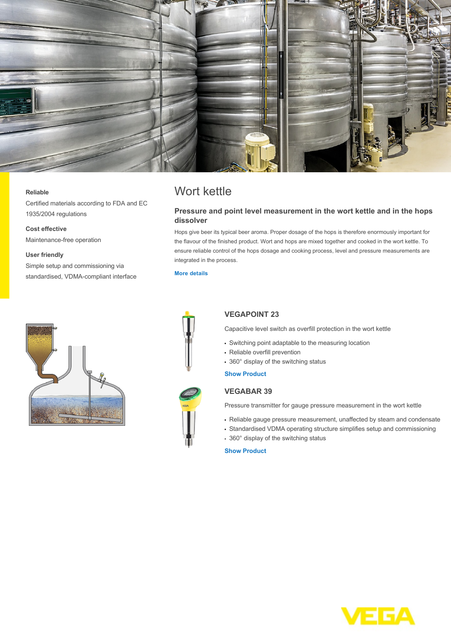

Wort kettle

integrated in the process.

**dissolver**

**[More details](http://localhost/en-us/industries/food-industry/brewery/w%C3%BCrzpfanne)**

## **Reliable**

Certified materials according to FDA and EC 1935/2004 regulations

**Cost effective** Maintenance-free operation

## **User friendly**

Simple setup and commissioning via standardised, VDMA-compliant interface





## **VEGAPOINT 23**

Capacitive level switch as overfill protection in the wort kettle

**Pressure and point level measurement in the wort kettle and in the hops**

Hops give beer its typical beer aroma. Proper dosage of the hops is therefore enormously important for the flavour of the finished product. Wort and hops are mixed together and cooked in the wort kettle. To ensure reliable control of the hops dosage and cooking process, level and pressure measurements are

- Switching point adaptable to the measuring location
- Reliable overfill prevention
- 360° display of the switching status

**[Show Product](http://localhost/en-us/products/product-catalog/switching/capacitive/vegapoint-23)**

## **VEGABAR 39**

Pressure transmitter for gauge pressure measurement in the wort kettle

- Reliable gauge pressure measurement, unaffected by steam and condensate
- Standardised VDMA operating structure simplifies setup and commissioning
- 360° display of the switching status

**[Show Product](http://localhost/en-us/products/product-catalog/pressure/process-pressure/vegabar-39)**